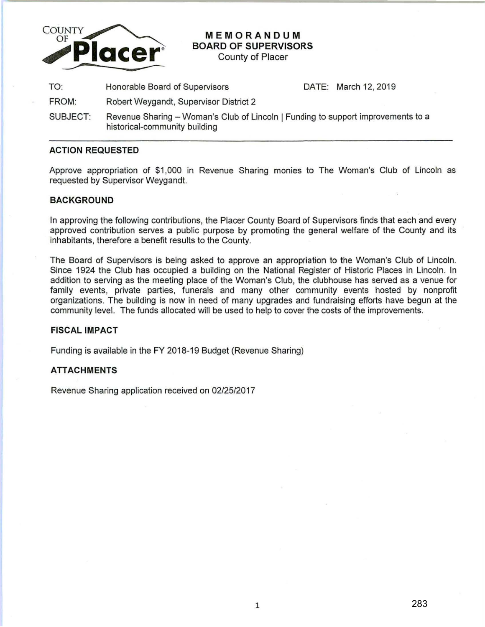

# **MEMORANDUM BOARD OF SUPERVISORS**

County of Placer

TO: Honorable Board of Supervisors DATE: March 12, 2019

- FROM: Robert Weygandt, Supervisor District 2
- SUBJECT: Revenue Sharing Woman's Club of Lincoln | Funding to support improvements to a historical-community building

## **ACTION REQUESTED**

Approve appropriation of \$1 ,000 in Revenue Sharing monies to The Woman's Club of Lincoln as requested by Supervisor Weygandt.

#### **BACKGROUND**

In approving the following contributions, the Placer County Board of Supervisors finds that each and every approved contribution serves a public purpose by promoting the general welfare of the County and its inhabitants, therefore a benefit results to the County.

The Board of Supervisors is being asked to approve an appropriation to the Woman's Club of Lincoln. Since 1924 the Club has occupied a building on the National Register of Historic Places in Lincoln. In addition to serving as the meeting place of the Woman's Club, the clubhouse has served as a venue for family events, private parties, funerals and many other community events hosted by nonprofit organizations. The building is now in need of many upgrades and fundraising efforts have begun at the community level. The funds allocated will be used to help to cover the costs of the improvements.

#### **FISCAL IMPACT**

Funding is available in the FY 2018-19 Budget (Revenue Sharing)

## **ATTACHMENTS**

Revenue Sharing application received on 02/25/2017